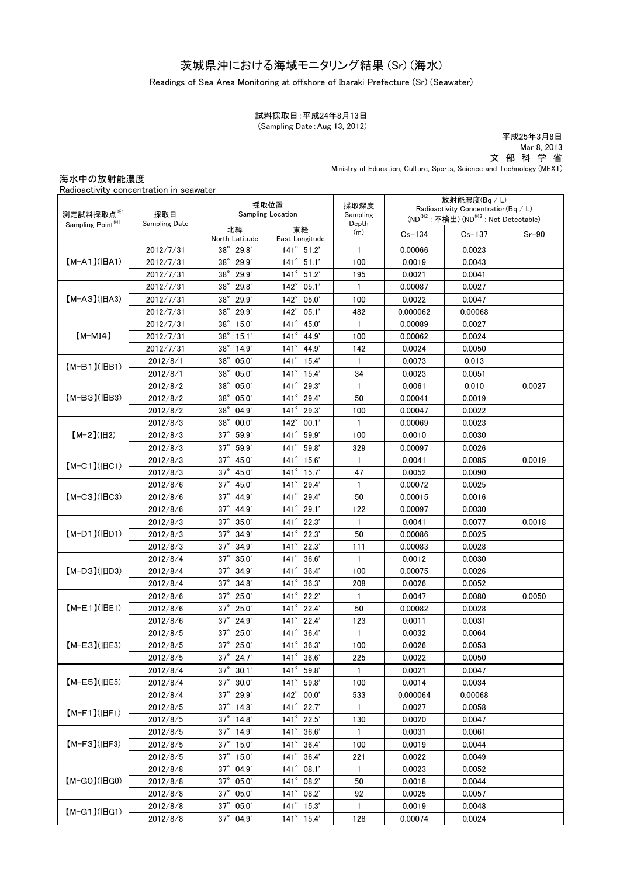# 茨城県沖における海域モニタリング結果 (Sr) (海水)

#### Readings of Sea Area Monitoring at offshore of Ibaraki Prefecture (Sr) (Seawater)

#### (Sampling Date:Aug 13, 2012) 試料採取日:平成24年8月13日

平成25年3月8日 Mar 8, 2013 文 部 科 学 省 Ministry of Education, Culture, Sports, Science and Technology (MEXT)

### 海水中の放射能濃度

| Radioactivity concentration in seawater |  |
|-----------------------------------------|--|
|                                         |  |

|                                                                           |                                                                                                         | 採取位置<br><b>Sampling Location</b> |                        | 採取深度<br>Sampling | 放射能濃度(Bq/L) |         |        |
|---------------------------------------------------------------------------|---------------------------------------------------------------------------------------------------------|----------------------------------|------------------------|------------------|-------------|---------|--------|
| 測定試料採取点※1<br>採取日<br>Sampling Point <sup>361</sup><br><b>Sampling Date</b> | Radioactivity Concentration( $Bq / L$ )<br>(ND <sup>※2</sup> : 不検出) (ND <sup>※2</sup> : Not Detectable) |                                  |                        |                  |             |         |        |
|                                                                           | 北緯<br>North Latitude                                                                                    | 東経<br>East Longitude             | Depth<br>(m)           | $Cs - 134$       | $Cs - 137$  | $Sr-90$ |        |
| 2012/7/31<br>$[M-A1](HA1)$<br>2012/7/31<br>2012/7/31                      | 38° 29.8'                                                                                               | $141^{\circ}$ 51.2'              | $\mathbf{1}$           | 0.00066          | 0.0023      |         |        |
|                                                                           | 38° 29.9'                                                                                               | $141^{\circ}$ 51.1'              | 100                    | 0.0019           | 0.0043      |         |        |
|                                                                           | $38^\circ$<br>29.9'                                                                                     | $141^\circ$<br>51.2'             | 195                    | 0.0021           | 0.0041      |         |        |
| 2012/7/31<br>$[M-A3](HA3)$<br>2012/7/31                                   |                                                                                                         | $38^\circ$<br>29.8'              | $142^\circ$<br>05.1'   | $\mathbf{1}$     | 0.00087     | 0.0027  |        |
|                                                                           |                                                                                                         | $38^\circ$<br>29.9'              | $142^\circ$<br>05.0'   | 100              | 0.0022      | 0.0047  |        |
|                                                                           | 2012/7/31                                                                                               | $38^\circ$<br>29.9'              | 142° 05.1'             | 482              | 0.000062    | 0.00068 |        |
|                                                                           | 2012/7/31                                                                                               | $38^\circ$<br>15.0'              | 141° 45.0'             | 1                | 0.00089     | 0.0027  |        |
| $[M-MI4]$                                                                 | 2012/7/31                                                                                               | $38^\circ$<br>15.1'              | $141^\circ$<br>44.9    | 100              | 0.00062     | 0.0024  |        |
|                                                                           | 2012/7/31                                                                                               | $38^\circ$<br>14.9'              | 141° 44.9'             | 142              | 0.0024      | 0.0050  |        |
| $(M-B1)(IBB1)$                                                            | 2012/8/1                                                                                                | $38^\circ$<br>05.0'              | 141° 15.4'             | 1                | 0.0073      | 0.013   |        |
|                                                                           | 2012/8/1                                                                                                | $38^\circ$<br>05.0'              | 141° 15.4'             | 34               | 0.0023      | 0.0051  |        |
|                                                                           | 2012/8/2                                                                                                | $38^\circ$<br>05.0'              | 141° 29.3'             | 1                | 0.0061      | 0.010   | 0.0027 |
| $[M-B3]$ ( $ BB3$ )                                                       | 2012/8/2                                                                                                | $38^\circ$<br>05.0'              | 141° 29.4'             | 50               | 0.00041     | 0.0019  |        |
|                                                                           | 2012/8/2                                                                                                | $38^\circ$<br>04.9'              | 141° 29.3'             | 100              | 0.00047     | 0.0022  |        |
|                                                                           | 2012/8/3                                                                                                | $38^\circ$<br>00.0'              | $142^\circ$<br>00.1'   | $\mathbf{1}$     | 0.00069     | 0.0023  |        |
| $[M-2](H2)$                                                               | 2012/8/3                                                                                                | $37^\circ$<br>59.9               | $141^\circ$<br>59.9    | 100              | 0.0010      | 0.0030  |        |
|                                                                           | 2012/8/3                                                                                                | $37^\circ$<br>59.9               | $141^\circ$<br>59.8    | 329              | 0.00097     | 0.0026  |        |
|                                                                           | 2012/8/3                                                                                                | $37^\circ$<br>45.0'              | $141^{\circ}$<br>15.6' | $\mathbf{1}$     | 0.0041      | 0.0085  | 0.0019 |
| $[M-C1]$ ( $ HCl$ )                                                       | 2012/8/3                                                                                                | $37^\circ$<br>45.0               | $141^\circ$<br>15.7'   | 47               | 0.0052      | 0.0090  |        |
|                                                                           | 2012/8/6                                                                                                | $37^\circ$<br>45.0'              | $141^\circ$<br>29.4'   | 1                | 0.00072     | 0.0025  |        |
| $[M-C3](HC3)$                                                             | 2012/8/6                                                                                                | $37^\circ$<br>44.9               | $141^\circ$<br>29.4'   | 50               | 0.00015     | 0.0016  |        |
|                                                                           | 2012/8/6                                                                                                | $37^\circ$<br>44.9               | $141^\circ$<br>29.1'   | 122              | 0.00097     | 0.0030  |        |
|                                                                           | 2012/8/3                                                                                                | $37^\circ$<br>35.0'              | $141^\circ$<br>22.3'   | 1                | 0.0041      | 0.0077  | 0.0018 |
| $[M-D1]$ ( $ BD1$ )                                                       | 2012/8/3                                                                                                | $37^\circ$<br>34.9'              | $141^\circ$<br>22.3'   | 50               | 0.00086     | 0.0025  |        |
|                                                                           | 2012/8/3                                                                                                | $37^\circ$<br>34.9'              | $141^{\circ}$<br>22.3' | 111              | 0.00083     | 0.0028  |        |
|                                                                           | 2012/8/4                                                                                                | $37^\circ$<br>35.0'              | $141^\circ$<br>36.6'   | $\mathbf{1}$     | 0.0012      | 0.0030  |        |
| $[M-D3]$ ( $ HD3$ )                                                       | 2012/8/4                                                                                                | 37° 34.9'                        | $141^\circ$<br>36.4'   | 100              | 0.00075     | 0.0026  |        |
|                                                                           | 2012/8/4                                                                                                | 37° 34.8'                        | $141^\circ$<br>36.3'   | 208              | 0.0026      | 0.0052  |        |
|                                                                           | 2012/8/6                                                                                                | 25.0'<br>$37^\circ$              | $141^\circ$<br>22.2'   | 1                | 0.0047      | 0.0080  | 0.0050 |
| $(M-E1)(HE1)$                                                             | 2012/8/6                                                                                                | $37^\circ$<br>25.0'              | 141° 22.4'             | 50               | 0.00082     | 0.0028  |        |
|                                                                           | 2012/8/6                                                                                                | 24.9'<br>$37^\circ$              | 141° 22.4'             | 123              | 0.0011      | 0.0031  |        |
| 2012/8/5<br>$[M-E3](HE3)$<br>2012/8/5                                     |                                                                                                         | $37^\circ$<br>25.0'              | 141° 36.4'             | 1                | 0.0032      | 0.0064  |        |
|                                                                           |                                                                                                         | $37^\circ$<br>25.0'              | 141° 36.3'             | 100              | 0.0026      | 0.0053  |        |
|                                                                           | 2012/8/5                                                                                                | $37^{\circ}$ 24.7'               | 141° 36.6'             | 225              | 0.0022      | 0.0050  |        |
|                                                                           | 2012/8/4                                                                                                | $37^{\circ}$ 30.1'               | $141^{\circ}$ 59.8'    | 1                | 0.0021      | 0.0047  |        |
| $[M-E5]$ ( $ BE5$ )<br>2012/8/4<br>2012/8/4                               | 37° 30.0'                                                                                               | 141° 59.8'                       | 100                    | 0.0014           | 0.0034      |         |        |
|                                                                           | 37° 29.9'                                                                                               | 142° 00.0'                       | 533                    | 0.000064         | 0.00068     |         |        |
| 2012/8/5<br>$(M-F1)(HF1)$                                                 |                                                                                                         | 37° 14.8'                        | 141° 22.7'             | 1                | 0.0027      | 0.0058  |        |
|                                                                           | 2012/8/5                                                                                                | 37° 14.8'                        | 141° 22.5'             | 130              | 0.0020      | 0.0047  |        |
| $[M-F3](HF3)$                                                             | 2012/8/5                                                                                                | 37° 14.9'                        | 141° 36.6'             | $\mathbf{1}$     | 0.0031      | 0.0061  |        |
|                                                                           | 2012/8/5                                                                                                | 37° 15.0'                        | 141° 36.4'             | 100              | 0.0019      | 0.0044  |        |
|                                                                           | 2012/8/5                                                                                                | $37^\circ$<br>15.0'              | $141^\circ$<br>36.4'   | 221              | 0.0022      | 0.0049  |        |
|                                                                           | 2012/8/8                                                                                                | $37^\circ$<br>04.9'              | 141° 08.1'             | $\mathbf{1}$     | 0.0023      | 0.0052  |        |
| $[M-GO](HGO)$                                                             | 2012/8/8                                                                                                | $37^\circ$<br>05.0'              | $141^\circ$<br>08.2'   | 50               | 0.0018      | 0.0044  |        |
|                                                                           | 2012/8/8                                                                                                | 37° 05.0'                        | 141° 08.2'             | 92               | 0.0025      | 0.0057  |        |
| $[M-G1]$ ( $HGI$ )                                                        | 2012/8/8                                                                                                | $37^\circ$<br>05.0'              | 141° 15.3'             | 1                | 0.0019      | 0.0048  |        |
|                                                                           | 2012/8/8                                                                                                | 37° 04.9'                        | 141° 15.4'             | 128              | 0.00074     | 0.0024  |        |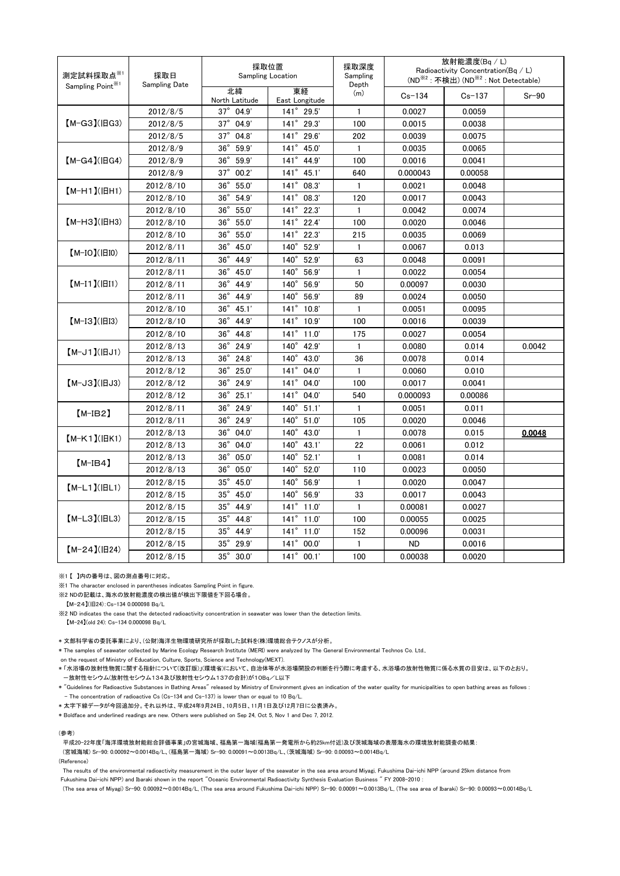| 測定試料採取点 $^{\divideontimes 1}$<br>採取日<br>Sampling Date<br>Sampling Point <sup>※1</sup> | 採取位置<br><b>Sampling Location</b> |                       | 採取深度<br>Sampling<br>Depth | 放射能濃度(Bq / L)<br>Radioactivity Concentration(Bq / L)<br>(ND <sup>※2</sup> : 不検出) (ND <sup>※2</sup> : Not Detectable) |            |         |        |
|---------------------------------------------------------------------------------------|----------------------------------|-----------------------|---------------------------|----------------------------------------------------------------------------------------------------------------------|------------|---------|--------|
|                                                                                       | 北緯<br>North Latitude             | 東経<br>East Longitude  | (m)                       | $Cs - 134$                                                                                                           | $Cs - 137$ | $Sr-90$ |        |
|                                                                                       | 2012/8/5                         | $37^{\circ}$ 04.9'    | $141^{\circ}$ 29.5'       | 1                                                                                                                    | 0.0027     | 0.0059  |        |
| $[M-G3](HG3)$                                                                         | 2012/8/5                         | $37^{\circ}$ 04.9'    | $141^{\circ}$ 29.3'       | 100                                                                                                                  | 0.0015     | 0.0038  |        |
|                                                                                       | 2012/8/5                         | $37^\circ$<br>04.8'   | 141° 29.6'                | 202                                                                                                                  | 0.0039     | 0.0075  |        |
| $[M-G4](HG4)$                                                                         | 2012/8/9                         | $36^\circ$<br>59.9'   | $141^\circ$<br>45.0       | $\mathbf{1}$                                                                                                         | 0.0035     | 0.0065  |        |
|                                                                                       | 2012/8/9                         | $36^\circ$<br>59.9    | 141° 44.9'                | 100                                                                                                                  | 0.0016     | 0.0041  |        |
|                                                                                       | 2012/8/9                         | $37^\circ$<br>00.2'   | $141^\circ$<br>45.1'      | 640                                                                                                                  | 0.000043   | 0.00058 |        |
| $(M-H1)(HH1)$                                                                         | 2012/8/10                        | $36^\circ$<br>55.0'   | $141^\circ$<br>08.3       | $\mathbf{1}$                                                                                                         | 0.0021     | 0.0048  |        |
|                                                                                       | 2012/8/10                        | $36^\circ$<br>54.9'   | 141° 08.3'                | 120                                                                                                                  | 0.0017     | 0.0043  |        |
|                                                                                       | 2012/8/10                        | $36^{\circ}$<br>55.0' | $141^\circ$<br>22.3'      | $\mathbf{1}$                                                                                                         | 0.0042     | 0.0074  |        |
| $(M-H3)(HH3)$                                                                         | 2012/8/10                        | $36^\circ$<br>55.0'   | $141^\circ$<br>22.4'      | 100                                                                                                                  | 0.0020     | 0.0046  |        |
|                                                                                       | 2012/8/10                        | $36^\circ$<br>55.0'   | $141^\circ$<br>22.3'      | 215                                                                                                                  | 0.0035     | 0.0069  |        |
| $[M-IO]( HIO)$                                                                        | 2012/8/11                        | $36^\circ$<br>45.0'   | $140^\circ$<br>52.9'      | $\mathbf{1}$                                                                                                         | 0.0067     | 0.013   |        |
|                                                                                       | 2012/8/11                        | $36^\circ$<br>44.9'   | $140^\circ$<br>52.9'      | 63                                                                                                                   | 0.0048     | 0.0091  |        |
| $[M-I1]( H1)$                                                                         | 2012/8/11                        | $36^\circ$<br>45.0'   | $140^\circ$<br>56.9'      | $\mathbf{1}$                                                                                                         | 0.0022     | 0.0054  |        |
|                                                                                       | 2012/8/11                        | $36^\circ$<br>44.9'   | $140^\circ$<br>56.9       | 50                                                                                                                   | 0.00097    | 0.0030  |        |
|                                                                                       | 2012/8/11                        | $36^\circ$<br>44.9'   | $140^\circ$<br>56.9'      | 89                                                                                                                   | 0.0024     | 0.0050  |        |
|                                                                                       | 2012/8/10                        | $36^{\circ}$<br>45.1' | $141^\circ$<br>10.8'      | $\mathbf{1}$                                                                                                         | 0.0051     | 0.0095  |        |
| $[M-I3](H13)$                                                                         | 2012/8/10                        | $36^\circ$<br>44.9    | $141^\circ$<br>10.9'      | 100                                                                                                                  | 0.0016     | 0.0039  |        |
|                                                                                       | 2012/8/10                        | $36^{\circ}$<br>44.8  | $141^\circ$<br>11.0'      | 175                                                                                                                  | 0.0027     | 0.0054  |        |
| $(M-J1)(HJI)$                                                                         | 2012/8/13                        | $36^\circ$<br>24.9'   | $140^\circ$<br>42.9       | $\mathbf{1}$                                                                                                         | 0.0080     | 0.014   | 0.0042 |
|                                                                                       | 2012/8/13                        | $36^{\circ}$<br>24.8' | $140^\circ$<br>43.0       | 36                                                                                                                   | 0.0078     | 0.014   |        |
| $[M-J3](HJ3)$                                                                         | 2012/8/12                        | $36^\circ$<br>25.0'   | $141^\circ$<br>04.0'      | $\mathbf{1}$                                                                                                         | 0.0060     | 0.010   |        |
|                                                                                       | 2012/8/12                        | $36^\circ$<br>24.9'   | $141^\circ$<br>04.0'      | 100                                                                                                                  | 0.0017     | 0.0041  |        |
|                                                                                       | 2012/8/12                        | $36^\circ$<br>25.1'   | $141^\circ$<br>04.0'      | 540                                                                                                                  | 0.000093   | 0.00086 |        |
| $(M-IB2)$                                                                             | 2012/8/11                        | $36^{\circ}$<br>24.9' | $140^\circ$<br>51.1'      | $\mathbf{1}$                                                                                                         | 0.0051     | 0.011   |        |
|                                                                                       | 2012/8/11                        | $36^{\circ}$<br>24.9' | $140^\circ$<br>51.0'      | 105                                                                                                                  | 0.0020     | 0.0046  |        |
| $[M-K1]$ ( $ BK1$ )                                                                   | 2012/8/13                        | $36^{\circ}$<br>04.0' | $140^\circ$<br>43.0       | $\mathbf{1}$                                                                                                         | 0.0078     | 0.015   | 0.0048 |
|                                                                                       | 2012/8/13                        | $36^\circ$<br>04.0'   | $140^\circ$<br>43.1'      | 22                                                                                                                   | 0.0061     | 0.012   |        |
| $(M-IB4)$                                                                             | 2012/8/13                        | $36^{\circ}$<br>05.0' | $140^\circ$<br>52.1'      | 1                                                                                                                    | 0.0081     | 0.014   |        |
|                                                                                       | 2012/8/13                        | $36^{\circ}$<br>05.0' | $140^\circ$<br>52.0'      | 110                                                                                                                  | 0.0023     | 0.0050  |        |
| $[M-L1]$ ( $ HL1$ )                                                                   | 2012/8/15                        | $35^\circ$<br>45.0'   | 140° 56.9'                | $\mathbf{1}$                                                                                                         | 0.0020     | 0.0047  |        |
|                                                                                       | 2012/8/15                        | $35^\circ$<br>45.0'   | $140^\circ$<br>56.9'      | 33                                                                                                                   | 0.0017     | 0.0043  |        |
| $[M-L3](HL3)$                                                                         | 2012/8/15                        | $35^\circ$<br>44.9'   | $141^\circ$<br>11.0'      | $\mathbf{1}$                                                                                                         | 0.00081    | 0.0027  |        |
|                                                                                       | 2012/8/15                        | $35^\circ$<br>44.8    | $141^\circ$<br>11.0'      | 100                                                                                                                  | 0.00055    | 0.0025  |        |
|                                                                                       | 2012/8/15                        | $35^\circ$<br>44.9    | $141^{\circ}$ 11.0'       | 152                                                                                                                  | 0.00096    | 0.0031  |        |
| $[M-24](H24)$                                                                         | 2012/8/15                        | $35^\circ$<br>29.9'   | $141^\circ$<br>00.0'      | 1                                                                                                                    | ND         | 0.0016  |        |
|                                                                                       | 2012/8/15                        | $35^{\circ}$ 30.0'    | $141^{\circ}$ 00.1'       | 100                                                                                                                  | 0.00038    | 0.0020  |        |

※1 【 】内の番号は、図の測点番号に対応。

※1 The character enclosed in parentheses indicates Sampling Point in figure.

※2 NDの記載は、海水の放射能濃度の検出値が検出下限値を下回る場合。

【M-24】(旧24):Cs-134 0.000098 Bq/L

※2 ND indicates the case that the detected radioactivity concentration in seawater was lower than the detection limits.

【M-24】(old 24): Cs-134 0.000098 Bq/L

\* 文部科学省の委託事業により、(公財)海洋生物環境研究所が採取した試料を(株)環境総合テクノスが分析。

\* The samples of seawater collected by Marine Ecology Research Institute (MERI) were analyzed by The General Environmental Technos Co. Ltd.,

on the request of Ministry of Education, Culture, Sports, Science and Technology(MEXT).

\* 「水浴場の放射性物質に関する指針について(改訂版)」(環境省)において、自治体等が水浴場開設の判断を行う際に考慮する、水浴場の放射性物質に係る水質の目安は、以下のとおり。 -放射性セシウム(放射性セシウム134及び放射性セシウム137の合計)が10Bq/L以下

\* "Guidelines for Radioactive Substances in Bathing Areas" released by Ministry of Environment gives an indication of the water quality for municipalities to open bathing areas as follows : - The concentration of radioactive Cs (Cs-134 and Cs-137) is lower than or equal to 10 Bq/L.

\* 太字下線データが今回追加分。それ以外は、平成24年9月24日、10月5日、11月1日及び12月7日に公表済み。

\* Boldface and underlined readings are new. Others were published on Sep 24, Oct 5, Nov 1 and Dec 7, 2012.

(参考)

平成20-22年度「海洋環境放射能総合評価事業」の宮城海域、福島第一海域(福島第一発電所から約25km付近)及び茨城海域の表層海水の環境放射能調査の結果:

(宮城海域) Sr-90: 0.00092~0.0014Bq/L、(福島第一海域) Sr-90: 0.00091~0.0013Bq/L、(茨城海域) Sr-90: 0.00093~0.0014Bq/L (Reference)

The results of the environmental radioactivity measurement in the outer layer of the seawater in the sea area around Miyagi, Fukushima Dai-ichi NPP (around 25km distance from Fukushima Dai-ichi NPP) and Ibaraki shown in the report "Oceanic Environmental Radioactivity Synthesis Evaluation Business " FY 2008-2010 :

(The sea area of Miyagi) Sr-90: 0.00092~0.0014Bq/L, (The sea area around Fukushima Dai-ichi NPP) Sr-90: 0.00091~0.0013Bq/L, (The sea area of Ibaraki) Sr-90: 0.00093~0.0014Bq/L